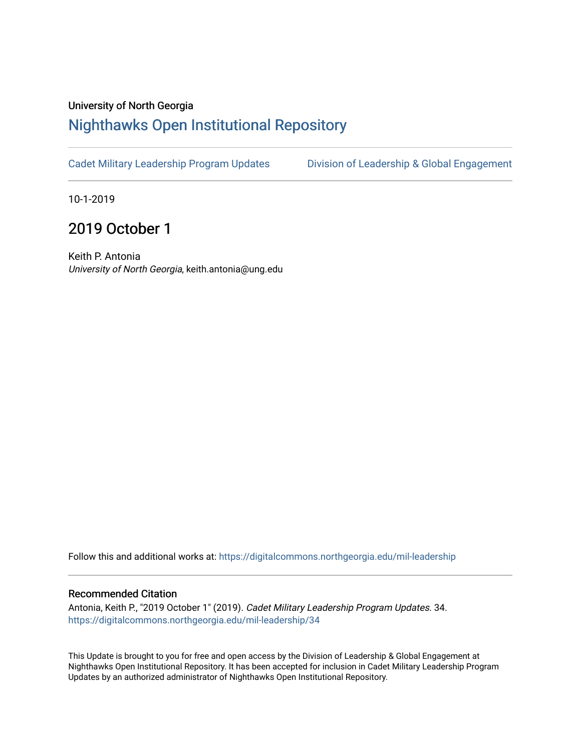## University of North Georgia

## [Nighthawks Open Institutional Repository](https://digitalcommons.northgeorgia.edu/)

[Cadet Military Leadership Program Updates](https://digitalcommons.northgeorgia.edu/mil-leadership) [Division of Leadership & Global Engagement](https://digitalcommons.northgeorgia.edu/leadership) 

10-1-2019

## 2019 October 1

Keith P. Antonia University of North Georgia, keith.antonia@ung.edu

Follow this and additional works at: [https://digitalcommons.northgeorgia.edu/mil-leadership](https://digitalcommons.northgeorgia.edu/mil-leadership?utm_source=digitalcommons.northgeorgia.edu%2Fmil-leadership%2F34&utm_medium=PDF&utm_campaign=PDFCoverPages) 

## Recommended Citation

Antonia, Keith P., "2019 October 1" (2019). Cadet Military Leadership Program Updates. 34. [https://digitalcommons.northgeorgia.edu/mil-leadership/34](https://digitalcommons.northgeorgia.edu/mil-leadership/34?utm_source=digitalcommons.northgeorgia.edu%2Fmil-leadership%2F34&utm_medium=PDF&utm_campaign=PDFCoverPages)

This Update is brought to you for free and open access by the Division of Leadership & Global Engagement at Nighthawks Open Institutional Repository. It has been accepted for inclusion in Cadet Military Leadership Program Updates by an authorized administrator of Nighthawks Open Institutional Repository.